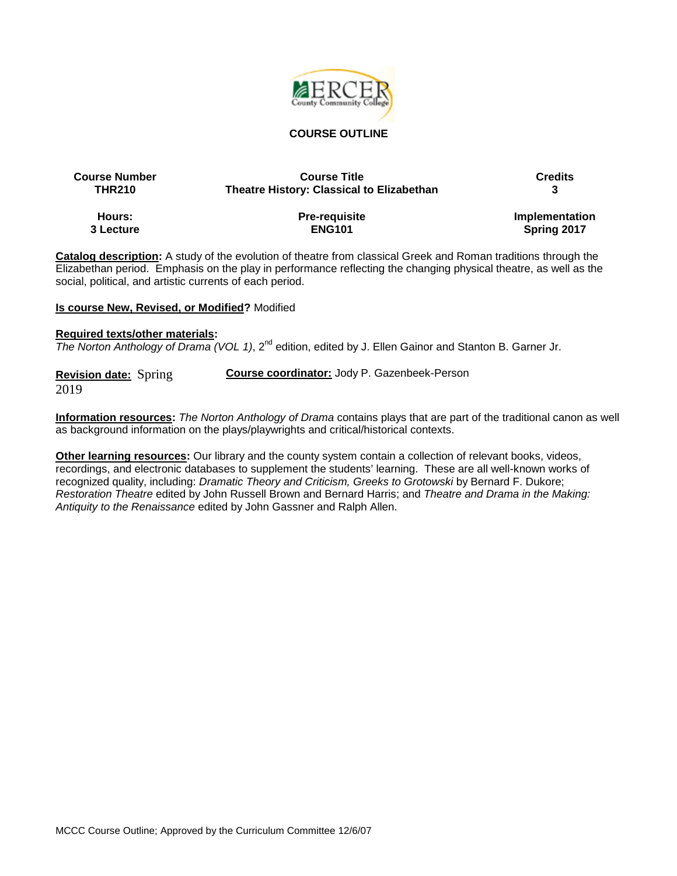

### **COURSE OUTLINE**

| <b>Course Number</b> | <b>Course Title</b>                              | <b>Credits</b> |
|----------------------|--------------------------------------------------|----------------|
| <b>THR210</b>        | <b>Theatre History: Classical to Elizabethan</b> |                |
| Hours:               | <b>Pre-requisite</b>                             | Implementation |
| 3 Lecture            | <b>ENG101</b>                                    | Spring 2017    |

**Catalog description:** A study of the evolution of theatre from classical Greek and Roman traditions through the Elizabethan period. Emphasis on the play in performance reflecting the changing physical theatre, as well as the social, political, and artistic currents of each period.

#### **Is course New, Revised, or Modified?** Modified

#### **Required texts/other materials:**

*The Norton Anthology of Drama (VOL 1)*, 2nd edition, edited by J. Ellen Gainor and Stanton B. Garner Jr.

**Revision date:** Spring 2019 **Course coordinator:** Jody P. Gazenbeek-Person

**Information resources:** *The Norton Anthology of Drama* contains plays that are part of the traditional canon as well as background information on the plays/playwrights and critical/historical contexts.

**Other learning resources:** Our library and the county system contain a collection of relevant books, videos, recordings, and electronic databases to supplement the students' learning. These are all well-known works of recognized quality, including: *Dramatic Theory and Criticism, Greeks to Grotowski* by Bernard F. Dukore; *Restoration Theatre* edited by John Russell Brown and Bernard Harris; and *Theatre and Drama in the Making: Antiquity to the Renaissance* edited by John Gassner and Ralph Allen.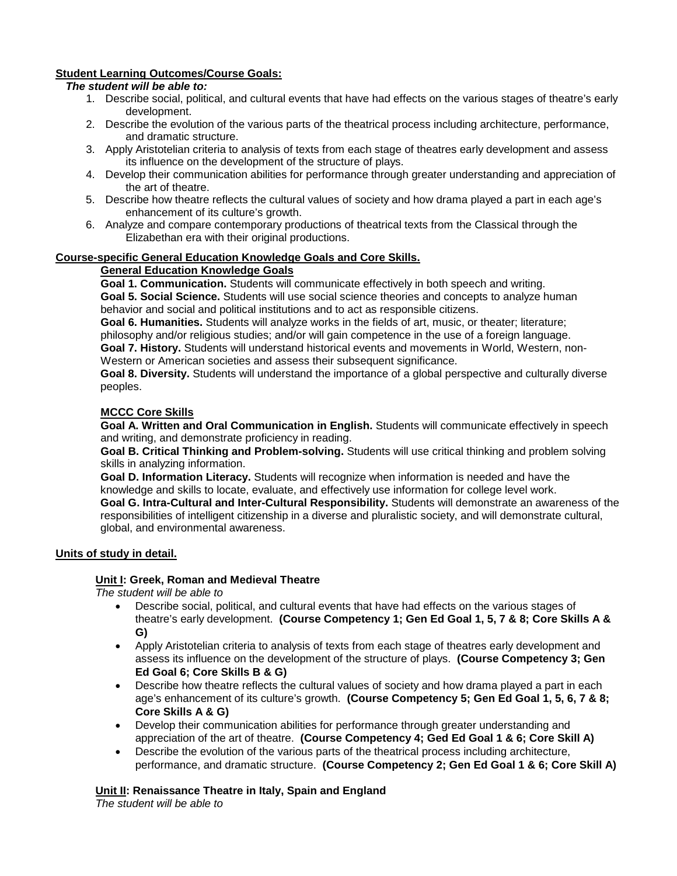# **Student Learning Outcomes/Course Goals:**

# *The student will be able to:*

- 1. Describe social, political, and cultural events that have had effects on the various stages of theatre's early development.
- 2. Describe the evolution of the various parts of the theatrical process including architecture, performance, and dramatic structure.
- 3. Apply Aristotelian criteria to analysis of texts from each stage of theatres early development and assess its influence on the development of the structure of plays.
- 4. Develop their communication abilities for performance through greater understanding and appreciation of the art of theatre.
- 5. Describe how theatre reflects the cultural values of society and how drama played a part in each age's enhancement of its culture's growth.
- 6. Analyze and compare contemporary productions of theatrical texts from the Classical through the Elizabethan era with their original productions.

# **Course-specific General Education Knowledge Goals and Core Skills.**

### **General Education Knowledge Goals**

**Goal 1. Communication.** Students will communicate effectively in both speech and writing. **Goal 5. Social Science.** Students will use social science theories and concepts to analyze human behavior and social and political institutions and to act as responsible citizens.

**Goal 6. Humanities.** Students will analyze works in the fields of art, music, or theater; literature; philosophy and/or religious studies; and/or will gain competence in the use of a foreign language. **Goal 7. History.** Students will understand historical events and movements in World, Western, non-Western or American societies and assess their subsequent significance.

**Goal 8. Diversity.** Students will understand the importance of a global perspective and culturally diverse peoples.

### **MCCC Core Skills**

**Goal A. Written and Oral Communication in English.** Students will communicate effectively in speech and writing, and demonstrate proficiency in reading.

**Goal B. Critical Thinking and Problem-solving.** Students will use critical thinking and problem solving skills in analyzing information.

**Goal D. Information Literacy.** Students will recognize when information is needed and have the knowledge and skills to locate, evaluate, and effectively use information for college level work.

**Goal G. Intra-Cultural and Inter-Cultural Responsibility.** Students will demonstrate an awareness of the responsibilities of intelligent citizenship in a diverse and pluralistic society, and will demonstrate cultural, global, and environmental awareness.

# **Units of study in detail.**

# **Unit I: Greek, Roman and Medieval Theatre**

*The student will be able to*

- Describe social, political, and cultural events that have had effects on the various stages of theatre's early development. **(Course Competency 1; Gen Ed Goal 1, 5, 7 & 8; Core Skills A & G)**
- Apply Aristotelian criteria to analysis of texts from each stage of theatres early development and assess its influence on the development of the structure of plays. **(Course Competency 3; Gen Ed Goal 6; Core Skills B & G)**
- Describe how theatre reflects the cultural values of society and how drama played a part in each age's enhancement of its culture's growth. **(Course Competency 5; Gen Ed Goal 1, 5, 6, 7 & 8; Core Skills A & G)**
- Develop their communication abilities for performance through greater understanding and appreciation of the art of theatre. **(Course Competency 4; Ged Ed Goal 1 & 6; Core Skill A)**
- Describe the evolution of the various parts of the theatrical process including architecture, performance, and dramatic structure. **(Course Competency 2; Gen Ed Goal 1 & 6; Core Skill A)**

**Unit II: Renaissance Theatre in Italy, Spain and England** *The student will be able to*